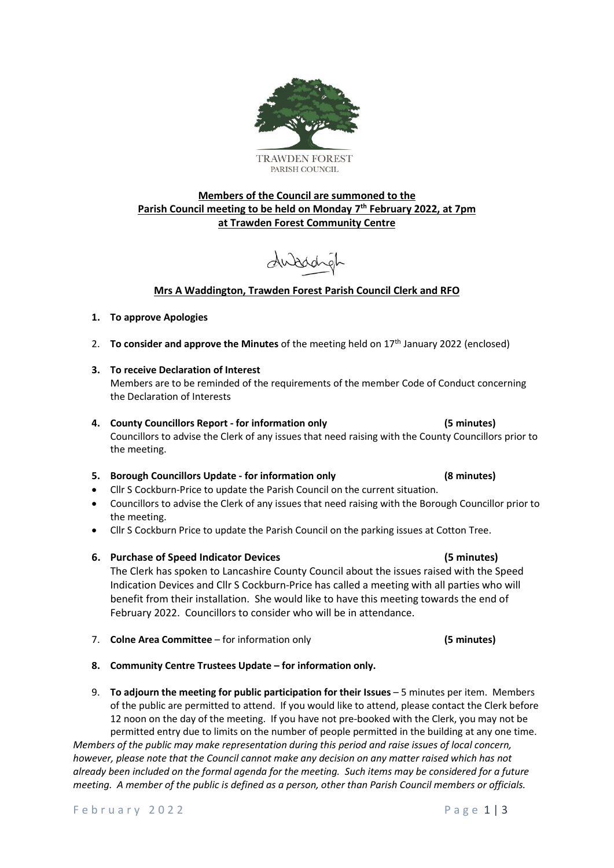

# **Members of the Council are summoned to the Parish Council meeting to be held on Monday 7 th February 2022, at 7pm at Trawden Forest Community Centre**

dubachel

# **Mrs A Waddington, Trawden Forest Parish Council Clerk and RFO**

### **1. To approve Apologies**

- 2. **To consider and approve the Minutes** of the meeting held on 17th January 2022 (enclosed)
- **3. To receive Declaration of Interest**

Members are to be reminded of the requirements of the member Code of Conduct concerning the Declaration of Interests

### **4. County Councillors Report - for information only (5 minutes)** Councillors to advise the Clerk of any issues that need raising with the County Councillors prior to the meeting.

## **5. Borough Councillors Update - for information only (8 minutes)**

- Cllr S Cockburn-Price to update the Parish Council on the current situation.
- Councillors to advise the Clerk of any issues that need raising with the Borough Councillor prior to the meeting.
- Cllr S Cockburn Price to update the Parish Council on the parking issues at Cotton Tree.
- **6. Purchase of Speed Indicator Devices (5 minutes)**

The Clerk has spoken to Lancashire County Council about the issues raised with the Speed Indication Devices and Cllr S Cockburn-Price has called a meeting with all parties who will benefit from their installation. She would like to have this meeting towards the end of February 2022. Councillors to consider who will be in attendance.

- 7. **Colne Area Committee** for information only **(5 minutes)**
- **8. Community Centre Trustees Update – for information only.**
- 9. **To adjourn the meeting for public participation for their Issues** 5 minutes per item. Members of the public are permitted to attend. If you would like to attend, please contact the Clerk before 12 noon on the day of the meeting. If you have not pre-booked with the Clerk, you may not be permitted entry due to limits on the number of people permitted in the building at any one time.

*Members of the public may make representation during this period and raise issues of local concern, however, please note that the Council cannot make any decision on any matter raised which has not already been included on the formal agenda for the meeting. Such items may be considered for a future meeting. A member of the public is defined as a person, other than Parish Council members or officials.*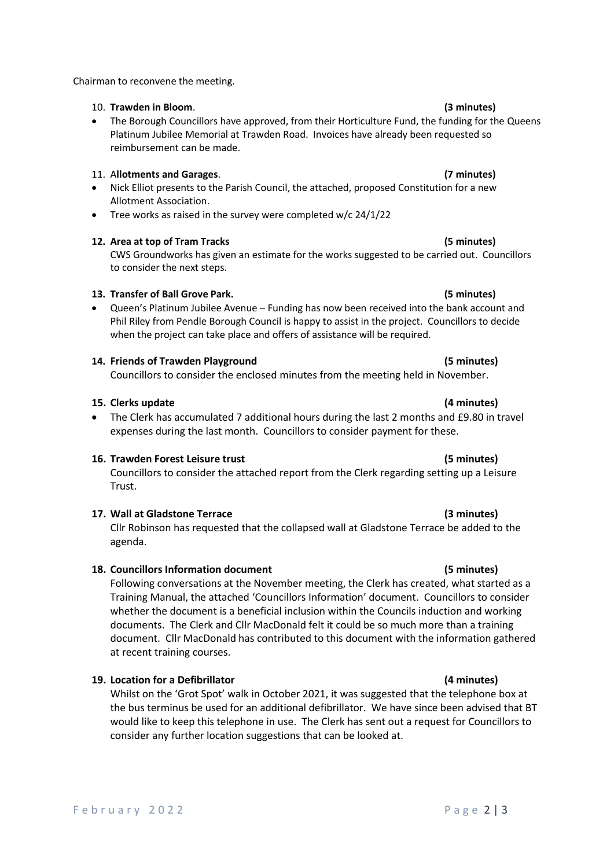Chairman to reconvene the meeting.

### 10. **Trawden in Bloom**. **(3 minutes)**

• The Borough Councillors have approved, from their Horticulture Fund, the funding for the Queens Platinum Jubilee Memorial at Trawden Road. Invoices have already been requested so reimbursement can be made.

### 11. A**llotments and Garages**. **(7 minutes)**

- Nick Elliot presents to the Parish Council, the attached, proposed Constitution for a new Allotment Association.
- Tree works as raised in the survey were completed w/c 24/1/22

### **12. Area at top of Tram Tracks (5 minutes)**

CWS Groundworks has given an estimate for the works suggested to be carried out. Councillors to consider the next steps.

### **13. Transfer of Ball Grove Park. (5 minutes)**

• Queen's Platinum Jubilee Avenue – Funding has now been received into the bank account and Phil Riley from Pendle Borough Council is happy to assist in the project. Councillors to decide when the project can take place and offers of assistance will be required.

## **14. Friends of Trawden Playground (5 minutes)**

Councillors to consider the enclosed minutes from the meeting held in November.

### **15. Clerks update (4 minutes)**

• The Clerk has accumulated 7 additional hours during the last 2 months and £9.80 in travel expenses during the last month. Councillors to consider payment for these.

## **16. Trawden Forest Leisure trust (5 minutes)**

Councillors to consider the attached report from the Clerk regarding setting up a Leisure Trust.

# **17. Wall at Gladstone Terrace (3 minutes)**

Cllr Robinson has requested that the collapsed wall at Gladstone Terrace be added to the agenda.

## **18. Councillors Information document (5 minutes)**

Following conversations at the November meeting, the Clerk has created, what started as a Training Manual, the attached 'Councillors Information' document. Councillors to consider whether the document is a beneficial inclusion within the Councils induction and working documents. The Clerk and Cllr MacDonald felt it could be so much more than a training document. Cllr MacDonald has contributed to this document with the information gathered at recent training courses.

## **19. Location for a Defibrillator (4 minutes)**

Whilst on the 'Grot Spot' walk in October 2021, it was suggested that the telephone box at the bus terminus be used for an additional defibrillator. We have since been advised that BT would like to keep this telephone in use. The Clerk has sent out a request for Councillors to consider any further location suggestions that can be looked at.